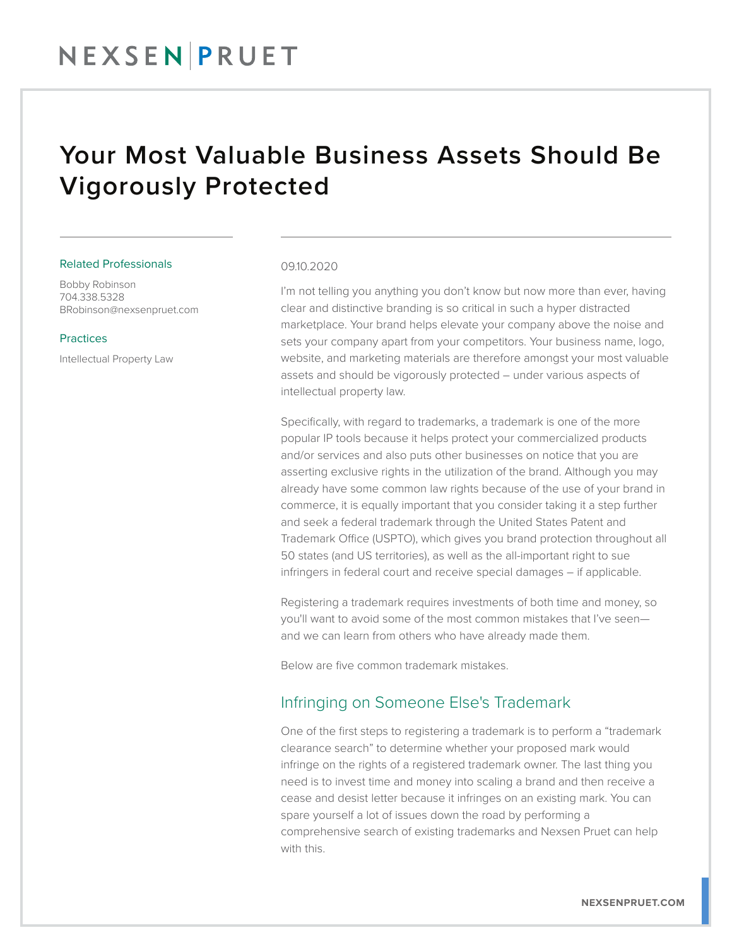## Your Most Valuable Business Assets Should Be Vigorously Protected

#### Related Professionals

Bobby Robinson 704.338.5328 BRobinson@nexsenpruet.com

#### Practices

Intellectual Property Law

#### 09.10.2020

I'm not telling you anything you don't know but now more than ever, having clear and distinctive branding is so critical in such a hyper distracted marketplace. Your brand helps elevate your company above the noise and sets your company apart from your competitors. Your business name, logo, website, and marketing materials are therefore amongst your most valuable assets and should be vigorously protected – under various aspects of intellectual property law.

Specifically, with regard to trademarks, a trademark is one of the more popular IP tools because it helps protect your commercialized products and/or services and also puts other businesses on notice that you are asserting exclusive rights in the utilization of the brand. Although you may already have some common law rights because of the use of your brand in commerce, it is equally important that you consider taking it a step further and seek a federal trademark through the United States Patent and Trademark Office (USPTO), which gives you brand protection throughout all 50 states (and US territories), as well as the all-important right to sue infringers in federal court and receive special damages – if applicable.

Registering a trademark requires investments of both time and money, so you'll want to avoid some of the most common mistakes that I've seen and we can learn from others who have already made them.

Below are five common trademark mistakes.

#### Infringing on Someone Else's Trademark

One of the first steps to registering a trademark is to perform a "trademark clearance search" to determine whether your proposed mark would infringe on the rights of a registered trademark owner. The last thing you need is to invest time and money into scaling a brand and then receive a cease and desist letter because it infringes on an existing mark. You can spare yourself a lot of issues down the road by performing a comprehensive search of existing trademarks and Nexsen Pruet can help with this.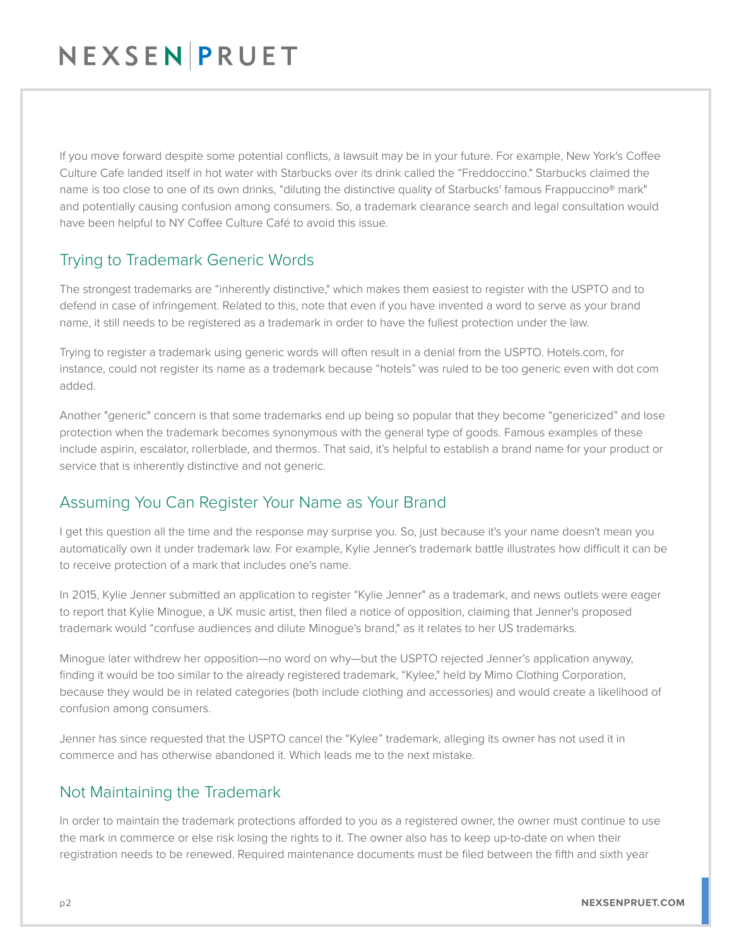## NEXSEN PRUET

If you move forward despite some potential conflicts, a lawsuit may be in your future. For example, New York's Coffee Culture Cafe landed itself in hot water with Starbucks over its drink called the "Freddoccino." Starbucks claimed the name is too close to one of its own drinks, "diluting the distinctive quality of Starbucks' famous Frappuccino® mark" and potentially causing confusion among consumers. So, a trademark clearance search and legal consultation would have been helpful to NY Coffee Culture Café to avoid this issue.

### Trying to Trademark Generic Words

The strongest trademarks are "inherently distinctive," which makes them easiest to register with the USPTO and to defend in case of infringement. Related to this, note that even if you have invented a word to serve as your brand name, it still needs to be registered as a trademark in order to have the fullest protection under the law.

Trying to register a trademark using generic words will often result in a denial from the USPTO. Hotels.com, for instance, could not register its name as a trademark because "hotels" was ruled to be too generic even with dot com added.

Another "generic" concern is that some trademarks end up being so popular that they become "genericized" and lose protection when the trademark becomes synonymous with the general type of goods. Famous examples of these include aspirin, escalator, rollerblade, and thermos. That said, it's helpful to establish a brand name for your product or service that is inherently distinctive and not generic.

## Assuming You Can Register Your Name as Your Brand

I get this question all the time and the response may surprise you. So, just because it's your name doesn't mean you automatically own it under trademark law. For example, Kylie Jenner's trademark battle illustrates how difficult it can be to receive protection of a mark that includes one's name.

In 2015, Kylie Jenner submitted an application to register "Kylie Jenner" as a trademark, and news outlets were eager to report that Kylie Minogue, a UK music artist, then filed a notice of opposition, claiming that Jenner's proposed trademark would "confuse audiences and dilute Minogue's brand," as it relates to her US trademarks.

Minogue later withdrew her opposition—no word on why—but the USPTO rejected Jenner's application anyway, finding it would be too similar to the already registered trademark, "Kylee," held by Mimo Clothing Corporation, because they would be in related categories (both include clothing and accessories) and would create a likelihood of confusion among consumers.

Jenner has since requested that the USPTO cancel the "Kylee" trademark, alleging its owner has not used it in commerce and has otherwise abandoned it. Which leads me to the next mistake.

## Not Maintaining the Trademark

In order to maintain the trademark protections afforded to you as a registered owner, the owner must continue to use the mark in commerce or else risk losing the rights to it. The owner also has to keep up-to-date on when their registration needs to be renewed. Required maintenance documents must be filed between the fifth and sixth year